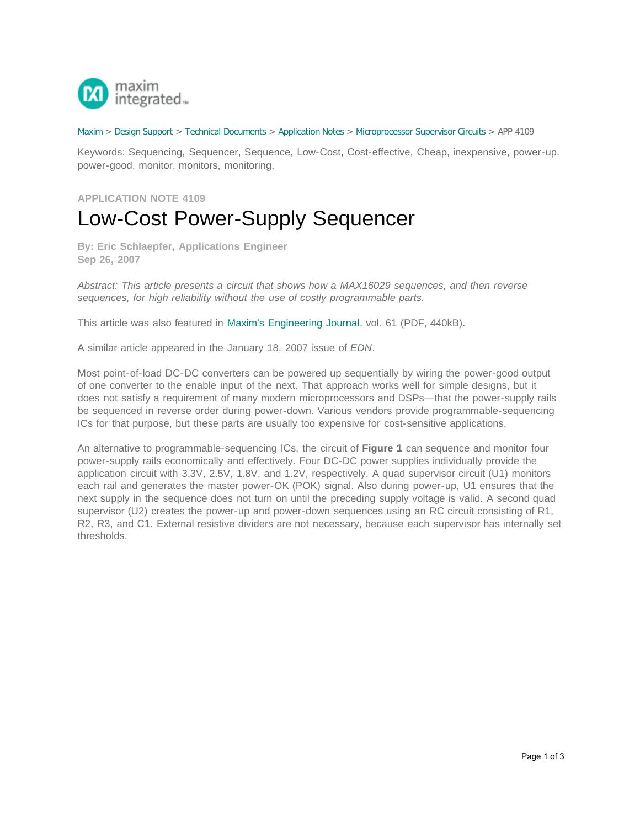

## [Maxim](http://www.maximintegrated.com/) > [Design Support](http://www.maximintegrated.com/design/) > [Technical Documents](http://www.maximintegrated.com/design/techdocs/) > [Application Notes](http://www.maximintegrated.com/design/techdocs/app-notes/index.mvp) > [Microprocessor Supervisor Circuits](http://www.maximintegrated.com/design/techdocs/app-notes/index.mvp/id/23/c/Microprocessor%20Supervisor%20Circuits#c23) > APP 4109

Keywords: Sequencing, Sequencer, Sequence, Low-Cost, Cost-effective, Cheap, inexpensive, power-up. power-good, monitor, monitors, monitoring.

## **APPLICATION NOTE 4109** Low-Cost Power-Supply Sequencer

**By: Eric Schlaepfer, Applications Engineer Sep 26, 2007**

*Abstract: This article presents a circuit that shows how a MAX16029 sequences, and then reverse sequences, for high reliability without the use of costly programmable parts.*

This article was also featured in [Maxim's Engineering Journal,](http://pdfserv.maximintegrated.com/en/ej/EJ61.pdf) vol. 61 (PDF, 440kB).

A similar article appeared in the January 18, 2007 issue of *EDN*.

Most point-of-load DC-DC converters can be powered up sequentially by wiring the power-good output of one converter to the enable input of the next. That approach works well for simple designs, but it does not satisfy a requirement of many modern microprocessors and DSPs—that the power-supply rails be sequenced in reverse order during power-down. Various vendors provide programmable-sequencing ICs for that purpose, but these parts are usually too expensive for cost-sensitive applications.

An alternative to programmable-sequencing ICs, the circuit of **Figure 1** can sequence and monitor four power-supply rails economically and effectively. Four DC-DC power supplies individually provide the application circuit with 3.3V, 2.5V, 1.8V, and 1.2V, respectively. A quad supervisor circuit (U1) monitors each rail and generates the master power-OK (POK) signal. Also during power-up, U1 ensures that the next supply in the sequence does not turn on until the preceding supply voltage is valid. A second quad supervisor (U2) creates the power-up and power-down sequences using an RC circuit consisting of R1, R2, R3, and C1. External resistive dividers are not necessary, because each supervisor has internally set thresholds.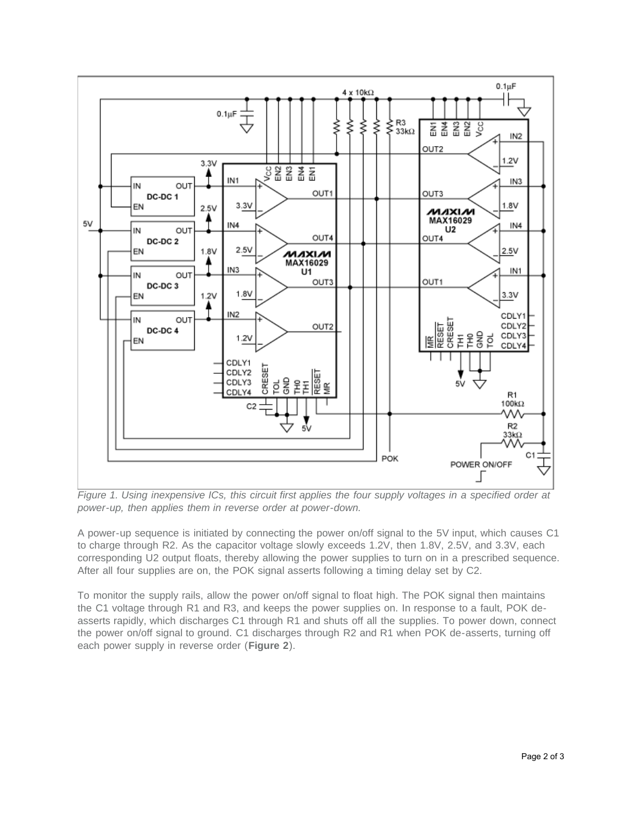

*Figure 1. Using inexpensive ICs, this circuit first applies the four supply voltages in a specified order at power-up, then applies them in reverse order at power-down.*

A power-up sequence is initiated by connecting the power on/off signal to the 5V input, which causes C1 to charge through R2. As the capacitor voltage slowly exceeds 1.2V, then 1.8V, 2.5V, and 3.3V, each corresponding U2 output floats, thereby allowing the power supplies to turn on in a prescribed sequence. After all four supplies are on, the POK signal asserts following a timing delay set by C2.

To monitor the supply rails, allow the power on/off signal to float high. The POK signal then maintains the C1 voltage through R1 and R3, and keeps the power supplies on. In response to a fault, POK deasserts rapidly, which discharges C1 through R1 and shuts off all the supplies. To power down, connect the power on/off signal to ground. C1 discharges through R2 and R1 when POK de-asserts, turning off each power supply in reverse order (**Figure 2**).